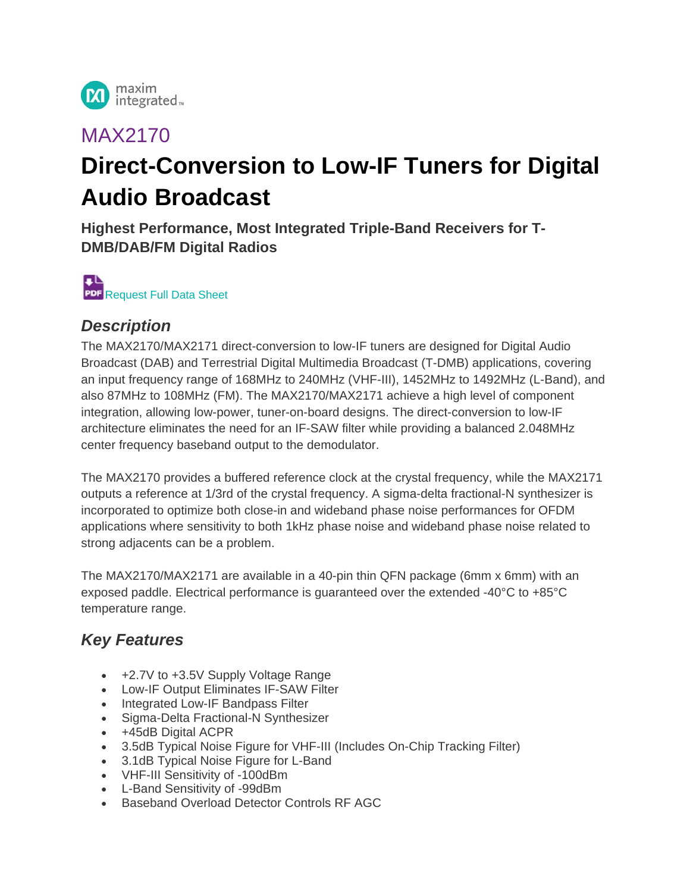

# MAX2170

# **Direct-Conversion to Low-IF Tuners for Digital Audio Broadcast**

**Highest Performance, Most Integrated Triple-Band Receivers for T-DMB/DAB/FM Digital Radios** 



#### *Description*

The MAX2170/MAX2171 direct-conversion to low-IF tuners are designed for Digital Audio Broadcast (DAB) and Terrestrial Digital Multimedia Broadcast (T-DMB) applications, covering an input frequency range of 168MHz to 240MHz (VHF-III), 1452MHz to 1492MHz (L-Band), and also 87MHz to 108MHz (FM). The MAX2170/MAX2171 achieve a high level of component integration, allowing low-power, tuner-on-board designs. The direct-conversion to low-IF architecture eliminates the need for an IF-SAW filter while providing a balanced 2.048MHz center frequency baseband output to the demodulator.

The MAX2170 provides a buffered reference clock at the crystal frequency, while the MAX2171 outputs a reference at 1/3rd of the crystal frequency. A sigma-delta fractional-N synthesizer is incorporated to optimize both close-in and wideband phase noise performances for OFDM applications where sensitivity to both 1kHz phase noise and wideband phase noise related to strong adjacents can be a problem.

The MAX2170/MAX2171 are available in a 40-pin thin QFN package (6mm x 6mm) with an exposed paddle. Electrical performance is guaranteed over the extended -40°C to +85°C temperature range.

### *Key Features*

- +2.7V to +3.5V Supply Voltage Range
- Low-IF Output Eliminates IF-SAW Filter
- Integrated Low-IF Bandpass Filter
- Sigma-Delta Fractional-N Synthesizer
- +45dB Digital ACPR
- 3.5dB Typical Noise Figure for VHF-III (Includes On-Chip Tracking Filter)
- 3.1dB Typical Noise Figure for L-Band
- VHF-III Sensitivity of -100dBm
- L-Band Sensitivity of -99dBm
- Baseband Overload Detector Controls RF AGC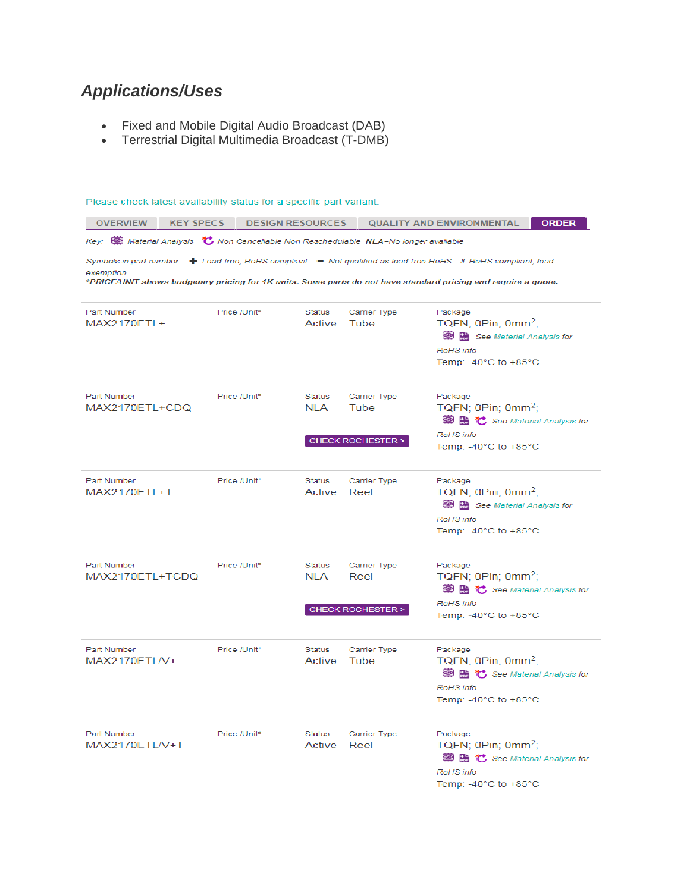# *Applications/Uses*

- Fixed and Mobile Digital Audio Broadcast (DAB)
- Terrestrial Digital Multimedia Broadcast (T-DMB)

| Please check latest availability status for a specific part variant.                                                                                                                                                                                          |              |                      |                                                     |                                                                                                                                                |  |  |  |  |  |  |  |  |
|---------------------------------------------------------------------------------------------------------------------------------------------------------------------------------------------------------------------------------------------------------------|--------------|----------------------|-----------------------------------------------------|------------------------------------------------------------------------------------------------------------------------------------------------|--|--|--|--|--|--|--|--|
| <b>OVERVIEW</b><br><b>KEY SPECS</b><br><b>DESIGN RESOURCES</b><br><b>QUALITY AND ENVIRONMENTAL</b><br><b>ORDER</b>                                                                                                                                            |              |                      |                                                     |                                                                                                                                                |  |  |  |  |  |  |  |  |
| Key: $\circledR$ Material Analysis $\circledR$ Non Cancellable Non Reschedulable NLA=No longer available                                                                                                                                                      |              |                      |                                                     |                                                                                                                                                |  |  |  |  |  |  |  |  |
| Symbols in part number: $\div$ Lead-free, RoHS compliant $\phantom{1}-$ Not qualified as lead-free RoHS # RoHS compliant, lead<br>exemption<br>*PRICE/UNIT shows budgetary pricing for 1K units. Some parts do not have standard pricing and require a quote. |              |                      |                                                     |                                                                                                                                                |  |  |  |  |  |  |  |  |
| Part Number<br>MAX2170ETL+                                                                                                                                                                                                                                    | Price /Unit* | Status<br>Active     | Carrier Type<br>Tube                                | Package<br>TQFN; 0Pin; 0mm <sup>2</sup> ;<br>See Material Analysis for<br>RoHS info<br>Temp: -40 $^{\circ}$ C to +85 $^{\circ}$ C              |  |  |  |  |  |  |  |  |
| Part Number<br>MAX2170ETL+CDQ                                                                                                                                                                                                                                 | Price /Unit* | <b>Status</b><br>NLA | Carrier Type<br>Tube<br><b>CHECK ROCHESTER &gt;</b> | Package<br>TQFN; $0Pin$ ; $0mm^2$ ;<br>中陆 じ See Material Analysis for<br>RoHS info<br>Temp: $-40^{\circ}$ C to $+85^{\circ}$ C                 |  |  |  |  |  |  |  |  |
| Part Number<br>MAX2170ETL+T                                                                                                                                                                                                                                   | Price /Unit* | Status<br>Active     | Carrier Type<br>Reel                                | Package<br>$TQFN$ ; OPin; 0mm <sup>2</sup> ;<br>See Material Analysis for<br>RoHS info<br>Temp: -40 $^{\circ}$ C to +85 $^{\circ}$ C           |  |  |  |  |  |  |  |  |
| Part Number<br>MAX2170ETL+TCDQ                                                                                                                                                                                                                                | Price /Unit* | Status<br>NLA        | Carrier Type<br>Reel<br><b>CHECK ROCHESTER &gt;</b> | Package<br>TQFN; 0Pin; 0mm <sup>2</sup> ;<br><b>● B</b> ℃ See Material Analysis for<br>RoHS info<br>Temp: -40 $^{\circ}$ C to +85 $^{\circ}$ C |  |  |  |  |  |  |  |  |
| Part Number<br>MAX2170ETL/V+                                                                                                                                                                                                                                  | Price /Unit* | Status<br>Active     | Carrier Type<br>Tube                                | Package<br>TQFN; $0Pin$ ; $0mm^2$ ;<br><b>● B</b> ℃ See Material Analysis for<br>RoHS info<br>Temp: $-40^{\circ}$ C to $+85^{\circ}$ C         |  |  |  |  |  |  |  |  |
| Part Number<br>MAX2170ETL/V+T                                                                                                                                                                                                                                 | Price /Unit* | Status<br>Active     | Carrier Type<br>Reel                                | Package<br>TQFN; 0Pin; 0mm <sup>2</sup> ;<br>中陆 じ See Material Analysis for<br>RoHS info<br>Temp: -40 $^{\circ}$ C to +85 $^{\circ}$ C         |  |  |  |  |  |  |  |  |